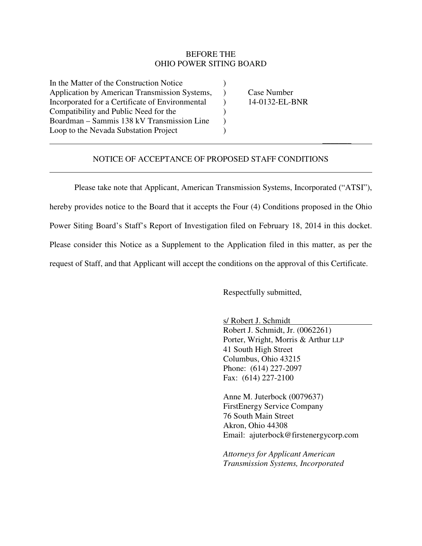## BEFORE THE OHIO POWER SITING BOARD

In the Matter of the Construction Notice ) Application by American Transmission Systems, ) Case Number Incorporated for a Certificate of Environmental (a) 14-0132-EL-BNR Compatibility and Public Need for the ) Boardman – Sammis 138 kV Transmission Line ) Loop to the Nevada Substation Project (1986)

 $\overline{a}$ 

## NOTICE OF ACCEPTANCE OF PROPOSED STAFF CONDITIONS

\_\_\_\_\_\_\_

 Please take note that Applicant, American Transmission Systems, Incorporated ("ATSI"), hereby provides notice to the Board that it accepts the Four (4) Conditions proposed in the Ohio Power Siting Board's Staff's Report of Investigation filed on February 18, 2014 in this docket. Please consider this Notice as a Supplement to the Application filed in this matter, as per the request of Staff, and that Applicant will accept the conditions on the approval of this Certificate.

Respectfully submitted,

s/ Robert J. Schmidt

Robert J. Schmidt, Jr. (0062261) Porter, Wright, Morris & Arthur LLP 41 South High Street Columbus, Ohio 43215 Phone: (614) 227-2097 Fax: (614) 227-2100

Anne M. Juterbock (0079637) FirstEnergy Service Company 76 South Main Street Akron, Ohio 44308 Email: ajuterbock@firstenergycorp.com

*Attorneys for Applicant American Transmission Systems, Incorporated*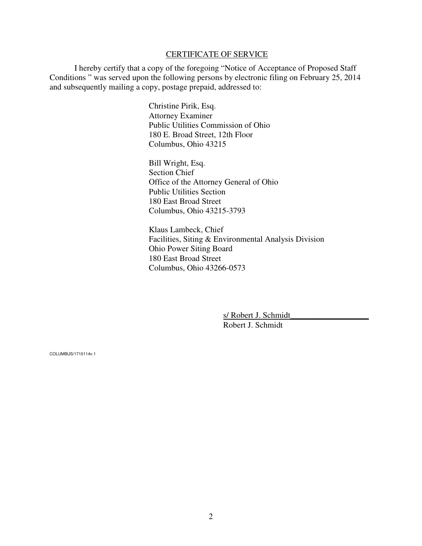## CERTIFICATE OF SERVICE

 I hereby certify that a copy of the foregoing "Notice of Acceptance of Proposed Staff Conditions " was served upon the following persons by electronic filing on February 25, 2014 and subsequently mailing a copy, postage prepaid, addressed to:

> Christine Pirik, Esq. Attorney Examiner Public Utilities Commission of Ohio 180 E. Broad Street, 12th Floor Columbus, Ohio 43215

Bill Wright, Esq. Section Chief Office of the Attorney General of Ohio Public Utilities Section 180 East Broad Street Columbus, Ohio 43215-3793

Klaus Lambeck, Chief Facilities, Siting & Environmental Analysis Division Ohio Power Siting Board 180 East Broad Street Columbus, Ohio 43266-0573

> s/ Robert J. Schmidt Robert J. Schmidt

COLUMBUS/1710114v.1